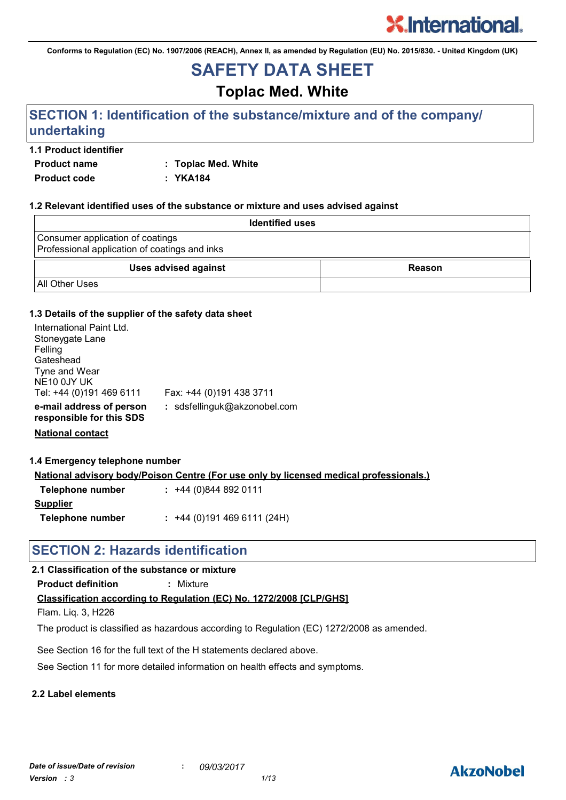**Conforms to Regulation (EC) No. 1907/2006 (REACH), Annex II, as amended by Regulation (EU) No. 2015/830. - United Kingdom (UK)**

# **SAFETY DATA SHEET**

# **Toplac Med. White**

# **SECTION 1: Identification of the substance/mixture and of the company/ undertaking**

## **1.1 Product identifier**

**Product name : Toplac Med. White**

**Product code : YKA184**

#### **1.2 Relevant identified uses of the substance or mixture and uses advised against**

| <b>Identified uses</b>                                                            |        |
|-----------------------------------------------------------------------------------|--------|
| Consumer application of coatings<br>Professional application of coatings and inks |        |
| <b>Uses advised against</b>                                                       | Reason |
| <b>All Other Uses</b>                                                             |        |

### **1.3 Details of the supplier of the safety data sheet**

| International Paint Ltd.<br>Stoneygate Lane<br>Felling<br>Gateshead<br>Tyne and Wear<br>NE <sub>10</sub> 0JY UK<br>Tel: +44 (0)191 469 6111 | Fax: +44 (0)191 438 3711     |
|---------------------------------------------------------------------------------------------------------------------------------------------|------------------------------|
| e-mail address of person<br>responsible for this SDS                                                                                        | : sdsfellinguk@akzonobel.com |
|                                                                                                                                             |                              |

**National contact**

#### **1.4 Emergency telephone number**

**National advisory body/Poison Centre (For use only by licensed medical professionals.)**

| Telephone number | $: +44(0)8448920111$      |
|------------------|---------------------------|
| <b>Supplier</b>  |                           |
| Telephone number | $: +44(0)1914696111(24H)$ |

# **SECTION 2: Hazards identification**

# **2.1 Classification of the substance or mixture**

**Product definition :** Mixture

# **Classification according to Regulation (EC) No. 1272/2008 [CLP/GHS]**

Flam. Liq. 3, H226

The product is classified as hazardous according to Regulation (EC) 1272/2008 as amended.

See Section 16 for the full text of the H statements declared above.

See Section 11 for more detailed information on health effects and symptoms.

# **2.2 Label elements**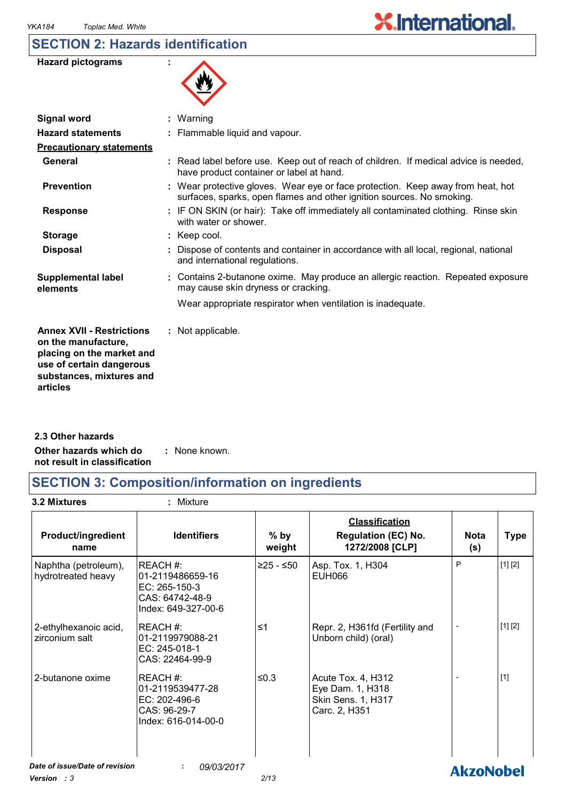# **SECTION 2: Hazards identification**

| <b>Hazard pictograms</b> |  |
|--------------------------|--|
|--------------------------|--|



| <b>Signal word</b>                                                                                                                                       | : Warning                                                                                                                                                |
|----------------------------------------------------------------------------------------------------------------------------------------------------------|----------------------------------------------------------------------------------------------------------------------------------------------------------|
| <b>Hazard statements</b>                                                                                                                                 | : Flammable liquid and vapour.                                                                                                                           |
| <b>Precautionary statements</b>                                                                                                                          |                                                                                                                                                          |
| General                                                                                                                                                  | : Read label before use. Keep out of reach of children. If medical advice is needed,<br>have product container or label at hand.                         |
| <b>Prevention</b>                                                                                                                                        | : Wear protective gloves. Wear eye or face protection. Keep away from heat, hot<br>surfaces, sparks, open flames and other ignition sources. No smoking. |
| <b>Response</b>                                                                                                                                          | : IF ON SKIN (or hair): Take off immediately all contaminated clothing. Rinse skin<br>with water or shower.                                              |
| <b>Storage</b>                                                                                                                                           | $:$ Keep cool.                                                                                                                                           |
| <b>Disposal</b>                                                                                                                                          | : Dispose of contents and container in accordance with all local, regional, national<br>and international regulations.                                   |
| <b>Supplemental label</b><br>elements                                                                                                                    | : Contains 2-butanone oxime. May produce an allergic reaction. Repeated exposure<br>may cause skin dryness or cracking.                                  |
|                                                                                                                                                          | Wear appropriate respirator when ventilation is inadequate.                                                                                              |
| <b>Annex XVII - Restrictions</b><br>on the manufacture,<br>placing on the market and<br>use of certain dangerous<br>substances, mixtures and<br>articles | : Not applicable.                                                                                                                                        |
|                                                                                                                                                          |                                                                                                                                                          |

**Other hazards which do : not result in classification** : None known. **2.3 Other hazards**

# **SECTION 3: Composition/information on ingredients**

**3.2 Mixtures :** Mixture

| <b>Product/ingredient</b><br>name          | <b>Identifiers</b>                                                                     | $%$ by<br>weight | <b>Classification</b><br><b>Regulation (EC) No.</b><br>1272/2008 [CLP]        | <b>Nota</b><br>(s) | <b>Type</b> |
|--------------------------------------------|----------------------------------------------------------------------------------------|------------------|-------------------------------------------------------------------------------|--------------------|-------------|
| Naphtha (petroleum),<br>hydrotreated heavy | REACH#:<br>01-2119486659-16<br>EC: 265-150-3<br>CAS: 64742-48-9<br>Index: 649-327-00-6 | $≥25 - ≤50$      | Asp. Tox. 1, H304<br>EUH066                                                   | P                  | [1] [2]     |
| 2-ethylhexanoic acid,<br>zirconium salt    | REACH#:<br>01-2119979088-21<br>EC: 245-018-1<br>CAS: 22464-99-9                        | $\leq 1$         | Repr. 2, H361fd (Fertility and<br>Unborn child) (oral)                        |                    | [1] [2]     |
| 2-butanone oxime                           | REACH#:<br>01-2119539477-28<br>EC: 202-496-6<br>CAS: 96-29-7<br>Index: 616-014-00-0    | $≤0.3$           | Acute Tox. 4, H312<br>Eye Dam. 1, H318<br>Skin Sens. 1, H317<br>Carc. 2, H351 |                    | $[1]$       |
| Date of issue/Date of revision             | 09/03/2017                                                                             |                  |                                                                               | <b>AkzoNobel</b>   |             |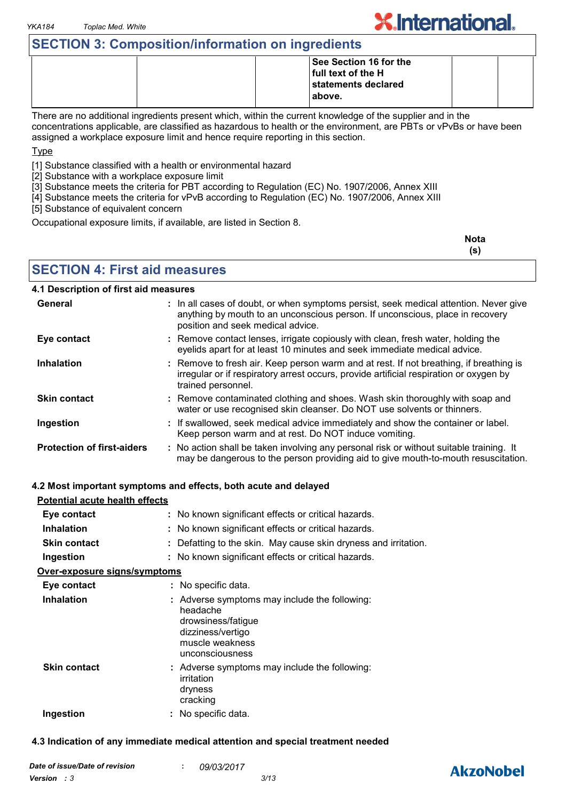# **SECTION 3: Composition/information on ingredients**

|  | See Section 16 for the |  |
|--|------------------------|--|
|  | full text of the H     |  |
|  | statements declared    |  |
|  | 'above.                |  |
|  |                        |  |

There are no additional ingredients present which, within the current knowledge of the supplier and in the concentrations applicable, are classified as hazardous to health or the environment, are PBTs or vPvBs or have been assigned a workplace exposure limit and hence require reporting in this section.

Type

[1] Substance classified with a health or environmental hazard

[2] Substance with a workplace exposure limit

[3] Substance meets the criteria for PBT according to Regulation (EC) No. 1907/2006, Annex XIII

[4] Substance meets the criteria for vPvB according to Regulation (EC) No. 1907/2006, Annex XIII

[5] Substance of equivalent concern

Occupational exposure limits, if available, are listed in Section 8.

| <b>Nota</b> |
|-------------|
| (s)         |

**X.International** 

# **SECTION 4: First aid measures**

#### **4.1 Description of first aid measures**

| General                           | : In all cases of doubt, or when symptoms persist, seek medical attention. Never give<br>anything by mouth to an unconscious person. If unconscious, place in recovery<br>position and seek medical advice. |
|-----------------------------------|-------------------------------------------------------------------------------------------------------------------------------------------------------------------------------------------------------------|
| Eye contact                       | : Remove contact lenses, irrigate copiously with clean, fresh water, holding the<br>eyelids apart for at least 10 minutes and seek immediate medical advice.                                                |
| <b>Inhalation</b>                 | : Remove to fresh air. Keep person warm and at rest. If not breathing, if breathing is<br>irregular or if respiratory arrest occurs, provide artificial respiration or oxygen by<br>trained personnel.      |
| <b>Skin contact</b>               | : Remove contaminated clothing and shoes. Wash skin thoroughly with soap and<br>water or use recognised skin cleanser. Do NOT use solvents or thinners.                                                     |
| Ingestion                         | : If swallowed, seek medical advice immediately and show the container or label.<br>Keep person warm and at rest. Do NOT induce vomiting.                                                                   |
| <b>Protection of first-aiders</b> | : No action shall be taken involving any personal risk or without suitable training. It<br>may be dangerous to the person providing aid to give mouth-to-mouth resuscitation.                               |

#### **4.2 Most important symptoms and effects, both acute and delayed**

| Potential acute health effects       |                                                                                                                                            |
|--------------------------------------|--------------------------------------------------------------------------------------------------------------------------------------------|
| Eye contact                          | : No known significant effects or critical hazards.                                                                                        |
| <b>Inhalation</b>                    | : No known significant effects or critical hazards.                                                                                        |
| <b>Skin contact</b>                  | : Defatting to the skin. May cause skin dryness and irritation.                                                                            |
| Ingestion                            | : No known significant effects or critical hazards.                                                                                        |
| <u> Over-exposure signs/symptoms</u> |                                                                                                                                            |
| Eye contact                          | : No specific data.                                                                                                                        |
| <b>Inhalation</b>                    | : Adverse symptoms may include the following:<br>headache<br>drowsiness/fatigue<br>dizziness/vertigo<br>muscle weakness<br>unconsciousness |
| <b>Skin contact</b>                  | : Adverse symptoms may include the following:<br>irritation<br>dryness<br>cracking                                                         |
| Ingestion                            | : No specific data.                                                                                                                        |

#### **4.3 Indication of any immediate medical attention and special treatment needed**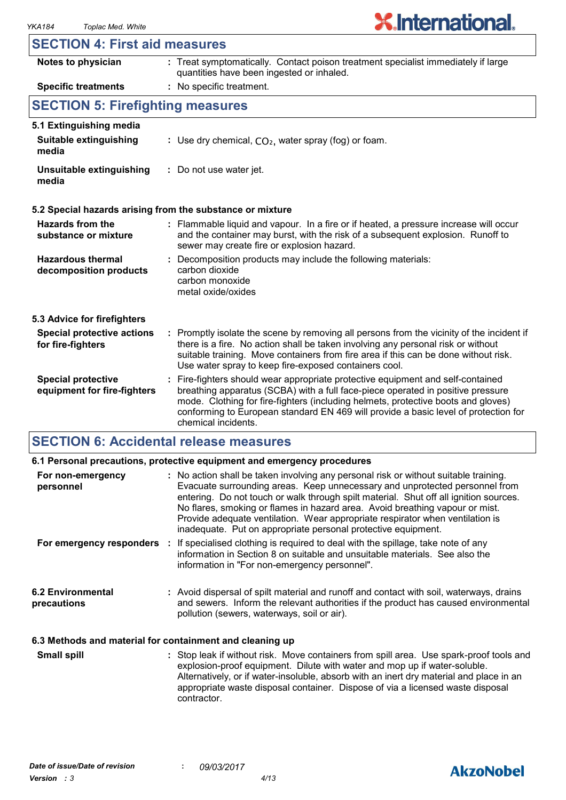# **SECTION 4: First aid measures**

| Notes to physician                                       | : Treat symptomatically. Contact poison treatment specialist immediately if large<br>quantities have been ingested or inhaled.                                                                                                                                                                                                                                      |  |
|----------------------------------------------------------|---------------------------------------------------------------------------------------------------------------------------------------------------------------------------------------------------------------------------------------------------------------------------------------------------------------------------------------------------------------------|--|
| <b>Specific treatments</b>                               | : No specific treatment.                                                                                                                                                                                                                                                                                                                                            |  |
| <b>SECTION 5: Firefighting measures</b>                  |                                                                                                                                                                                                                                                                                                                                                                     |  |
| 5.1 Extinguishing media                                  |                                                                                                                                                                                                                                                                                                                                                                     |  |
| <b>Suitable extinguishing</b><br>media                   | : Use dry chemical, $CO2$ , water spray (fog) or foam.                                                                                                                                                                                                                                                                                                              |  |
| Unsuitable extinguishing<br>media                        | : Do not use water jet.                                                                                                                                                                                                                                                                                                                                             |  |
|                                                          | 5.2 Special hazards arising from the substance or mixture                                                                                                                                                                                                                                                                                                           |  |
| <b>Hazards from the</b><br>substance or mixture          | : Flammable liquid and vapour. In a fire or if heated, a pressure increase will occur<br>and the container may burst, with the risk of a subsequent explosion. Runoff to<br>sewer may create fire or explosion hazard.                                                                                                                                              |  |
| <b>Hazardous thermal</b><br>decomposition products       | : Decomposition products may include the following materials:<br>carbon dioxide<br>carbon monoxide<br>metal oxide/oxides                                                                                                                                                                                                                                            |  |
| 5.3 Advice for firefighters                              |                                                                                                                                                                                                                                                                                                                                                                     |  |
| <b>Special protective actions</b><br>for fire-fighters   | : Promptly isolate the scene by removing all persons from the vicinity of the incident if<br>there is a fire. No action shall be taken involving any personal risk or without<br>suitable training. Move containers from fire area if this can be done without risk.<br>Use water spray to keep fire-exposed containers cool.                                       |  |
| <b>Special protective</b><br>equipment for fire-fighters | Fire-fighters should wear appropriate protective equipment and self-contained<br>breathing apparatus (SCBA) with a full face-piece operated in positive pressure<br>mode. Clothing for fire-fighters (including helmets, protective boots and gloves)<br>conforming to European standard EN 469 will provide a basic level of protection for<br>chemical incidents. |  |

# **SECTION 6: Accidental release measures**

|                                                          | 6.1 Personal precautions, protective equipment and emergency procedures                                                                                                                                                                                                                                                                                                                                                                                                                        |  |
|----------------------------------------------------------|------------------------------------------------------------------------------------------------------------------------------------------------------------------------------------------------------------------------------------------------------------------------------------------------------------------------------------------------------------------------------------------------------------------------------------------------------------------------------------------------|--|
| For non-emergency<br>personnel                           | : No action shall be taken involving any personal risk or without suitable training.<br>Evacuate surrounding areas. Keep unnecessary and unprotected personnel from<br>entering. Do not touch or walk through spilt material. Shut off all ignition sources.<br>No flares, smoking or flames in hazard area. Avoid breathing vapour or mist.<br>Provide adequate ventilation. Wear appropriate respirator when ventilation is<br>inadequate. Put on appropriate personal protective equipment. |  |
|                                                          | For emergency responders : If specialised clothing is required to deal with the spillage, take note of any<br>information in Section 8 on suitable and unsuitable materials. See also the<br>information in "For non-emergency personnel".                                                                                                                                                                                                                                                     |  |
| <b>6.2 Environmental</b><br>precautions                  | : Avoid dispersal of spilt material and runoff and contact with soil, waterways, drains<br>and sewers. Inform the relevant authorities if the product has caused environmental<br>pollution (sewers, waterways, soil or air).                                                                                                                                                                                                                                                                  |  |
| 6.3 Methods and material for containment and cleaning up |                                                                                                                                                                                                                                                                                                                                                                                                                                                                                                |  |

Stop leak if without risk. Move containers from spill area. Use spark-proof tools and explosion-proof equipment. Dilute with water and mop up if water-soluble. Alternatively, or if water-insoluble, absorb with an inert dry material and place in an appropriate waste disposal container. Dispose of via a licensed waste disposal contractor. **Small spill :**

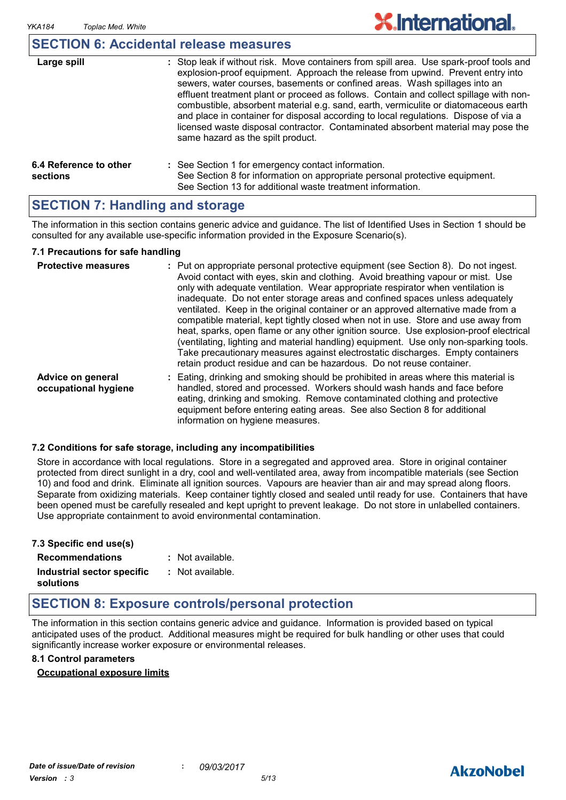# **SECTION 6: Accidental release measures**

| Large spill                        | : Stop leak if without risk. Move containers from spill area. Use spark-proof tools and<br>explosion-proof equipment. Approach the release from upwind. Prevent entry into<br>sewers, water courses, basements or confined areas. Wash spillages into an<br>effluent treatment plant or proceed as follows. Contain and collect spillage with non-<br>combustible, absorbent material e.g. sand, earth, vermiculite or diatomaceous earth<br>and place in container for disposal according to local regulations. Dispose of via a<br>licensed waste disposal contractor. Contaminated absorbent material may pose the<br>same hazard as the spilt product. |
|------------------------------------|------------------------------------------------------------------------------------------------------------------------------------------------------------------------------------------------------------------------------------------------------------------------------------------------------------------------------------------------------------------------------------------------------------------------------------------------------------------------------------------------------------------------------------------------------------------------------------------------------------------------------------------------------------|
| 6.4 Reference to other<br>sections | : See Section 1 for emergency contact information.<br>See Section 8 for information on appropriate personal protective equipment.<br>See Section 13 for additional waste treatment information.                                                                                                                                                                                                                                                                                                                                                                                                                                                            |

# **SECTION 7: Handling and storage**

The information in this section contains generic advice and guidance. The list of Identified Uses in Section 1 should be consulted for any available use-specific information provided in the Exposure Scenario(s).

#### **7.1 Precautions for safe handling**

| <b>Protective measures</b>                | : Put on appropriate personal protective equipment (see Section 8). Do not ingest.<br>Avoid contact with eyes, skin and clothing. Avoid breathing vapour or mist. Use<br>only with adequate ventilation. Wear appropriate respirator when ventilation is<br>inadequate. Do not enter storage areas and confined spaces unless adequately<br>ventilated. Keep in the original container or an approved alternative made from a<br>compatible material, kept tightly closed when not in use. Store and use away from<br>heat, sparks, open flame or any other ignition source. Use explosion-proof electrical<br>(ventilating, lighting and material handling) equipment. Use only non-sparking tools.<br>Take precautionary measures against electrostatic discharges. Empty containers<br>retain product residue and can be hazardous. Do not reuse container. |
|-------------------------------------------|----------------------------------------------------------------------------------------------------------------------------------------------------------------------------------------------------------------------------------------------------------------------------------------------------------------------------------------------------------------------------------------------------------------------------------------------------------------------------------------------------------------------------------------------------------------------------------------------------------------------------------------------------------------------------------------------------------------------------------------------------------------------------------------------------------------------------------------------------------------|
| Advice on general<br>occupational hygiene | : Eating, drinking and smoking should be prohibited in areas where this material is<br>handled, stored and processed. Workers should wash hands and face before<br>eating, drinking and smoking. Remove contaminated clothing and protective<br>equipment before entering eating areas. See also Section 8 for additional<br>information on hygiene measures.                                                                                                                                                                                                                                                                                                                                                                                                                                                                                                  |

#### **7.2 Conditions for safe storage, including any incompatibilities**

Store in accordance with local regulations. Store in a segregated and approved area. Store in original container protected from direct sunlight in a dry, cool and well-ventilated area, away from incompatible materials (see Section 10) and food and drink. Eliminate all ignition sources. Vapours are heavier than air and may spread along floors. Separate from oxidizing materials. Keep container tightly closed and sealed until ready for use. Containers that have been opened must be carefully resealed and kept upright to prevent leakage. Do not store in unlabelled containers. Use appropriate containment to avoid environmental contamination.

| 7.3 Specific end use(s)    |                  |
|----------------------------|------------------|
| <b>Recommendations</b>     | : Not available. |
| Industrial sector specific | : Not available. |
| solutions                  |                  |

# **SECTION 8: Exposure controls/personal protection**

The information in this section contains generic advice and guidance. Information is provided based on typical anticipated uses of the product. Additional measures might be required for bulk handling or other uses that could significantly increase worker exposure or environmental releases.

#### **8.1 Control parameters**

# **Occupational exposure limits**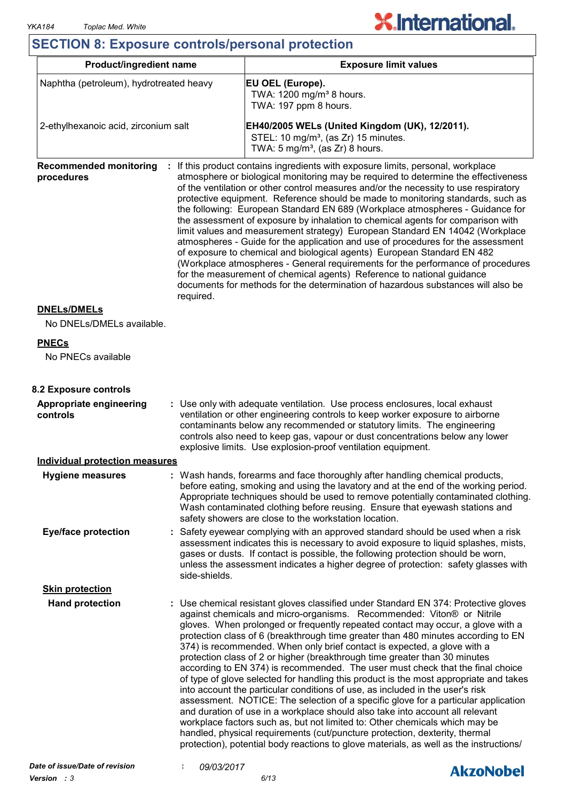# **SECTION 8: Exposure controls/personal protection**

| Product/ingredient name                                  |                                                                                                                                                                                                                                                                                                                                                                                          | <b>Exposure limit values</b>                                                                                                                                                                                                                                                                                                                                                                                                                                                                                                                                                                                                                                                                                                                                                                                                                                                                                                                                                                                                                                                                                                                                                              |  |
|----------------------------------------------------------|------------------------------------------------------------------------------------------------------------------------------------------------------------------------------------------------------------------------------------------------------------------------------------------------------------------------------------------------------------------------------------------|-------------------------------------------------------------------------------------------------------------------------------------------------------------------------------------------------------------------------------------------------------------------------------------------------------------------------------------------------------------------------------------------------------------------------------------------------------------------------------------------------------------------------------------------------------------------------------------------------------------------------------------------------------------------------------------------------------------------------------------------------------------------------------------------------------------------------------------------------------------------------------------------------------------------------------------------------------------------------------------------------------------------------------------------------------------------------------------------------------------------------------------------------------------------------------------------|--|
| Naphtha (petroleum), hydrotreated heavy                  |                                                                                                                                                                                                                                                                                                                                                                                          | EU OEL (Europe).<br>TWA: 1200 mg/m <sup>3</sup> 8 hours.<br>TWA: 197 ppm 8 hours.                                                                                                                                                                                                                                                                                                                                                                                                                                                                                                                                                                                                                                                                                                                                                                                                                                                                                                                                                                                                                                                                                                         |  |
| 2-ethylhexanoic acid, zirconium salt                     |                                                                                                                                                                                                                                                                                                                                                                                          | EH40/2005 WELs (United Kingdom (UK), 12/2011).<br>STEL: 10 mg/m <sup>3</sup> , (as Zr) 15 minutes.<br>TWA: $5 \text{ mg/m}^3$ , (as Zr) 8 hours.                                                                                                                                                                                                                                                                                                                                                                                                                                                                                                                                                                                                                                                                                                                                                                                                                                                                                                                                                                                                                                          |  |
| <b>Recommended monitoring</b><br>procedures<br>required. |                                                                                                                                                                                                                                                                                                                                                                                          | If this product contains ingredients with exposure limits, personal, workplace<br>atmosphere or biological monitoring may be required to determine the effectiveness<br>of the ventilation or other control measures and/or the necessity to use respiratory<br>protective equipment. Reference should be made to monitoring standards, such as<br>the following: European Standard EN 689 (Workplace atmospheres - Guidance for<br>the assessment of exposure by inhalation to chemical agents for comparison with<br>limit values and measurement strategy) European Standard EN 14042 (Workplace<br>atmospheres - Guide for the application and use of procedures for the assessment<br>of exposure to chemical and biological agents) European Standard EN 482<br>(Workplace atmospheres - General requirements for the performance of procedures<br>for the measurement of chemical agents) Reference to national guidance<br>documents for methods for the determination of hazardous substances will also be                                                                                                                                                                       |  |
| <b>DNELs/DMELs</b><br>No DNELs/DMELs available.          |                                                                                                                                                                                                                                                                                                                                                                                          |                                                                                                                                                                                                                                                                                                                                                                                                                                                                                                                                                                                                                                                                                                                                                                                                                                                                                                                                                                                                                                                                                                                                                                                           |  |
|                                                          |                                                                                                                                                                                                                                                                                                                                                                                          |                                                                                                                                                                                                                                                                                                                                                                                                                                                                                                                                                                                                                                                                                                                                                                                                                                                                                                                                                                                                                                                                                                                                                                                           |  |
| <b>PNECs</b><br>No PNECs available                       |                                                                                                                                                                                                                                                                                                                                                                                          |                                                                                                                                                                                                                                                                                                                                                                                                                                                                                                                                                                                                                                                                                                                                                                                                                                                                                                                                                                                                                                                                                                                                                                                           |  |
| 8.2 Exposure controls                                    |                                                                                                                                                                                                                                                                                                                                                                                          |                                                                                                                                                                                                                                                                                                                                                                                                                                                                                                                                                                                                                                                                                                                                                                                                                                                                                                                                                                                                                                                                                                                                                                                           |  |
| Appropriate engineering<br>controls                      | : Use only with adequate ventilation. Use process enclosures, local exhaust<br>ventilation or other engineering controls to keep worker exposure to airborne<br>contaminants below any recommended or statutory limits. The engineering<br>controls also need to keep gas, vapour or dust concentrations below any lower<br>explosive limits. Use explosion-proof ventilation equipment. |                                                                                                                                                                                                                                                                                                                                                                                                                                                                                                                                                                                                                                                                                                                                                                                                                                                                                                                                                                                                                                                                                                                                                                                           |  |
| <b>Individual protection measures</b>                    |                                                                                                                                                                                                                                                                                                                                                                                          |                                                                                                                                                                                                                                                                                                                                                                                                                                                                                                                                                                                                                                                                                                                                                                                                                                                                                                                                                                                                                                                                                                                                                                                           |  |
| <b>Hygiene measures</b>                                  |                                                                                                                                                                                                                                                                                                                                                                                          | Wash hands, forearms and face thoroughly after handling chemical products,<br>before eating, smoking and using the lavatory and at the end of the working period.<br>Appropriate techniques should be used to remove potentially contaminated clothing.<br>Wash contaminated clothing before reusing. Ensure that eyewash stations and<br>safety showers are close to the workstation location.                                                                                                                                                                                                                                                                                                                                                                                                                                                                                                                                                                                                                                                                                                                                                                                           |  |
| <b>Eye/face protection</b>                               | : Safety eyewear complying with an approved standard should be used when a risk<br>assessment indicates this is necessary to avoid exposure to liquid splashes, mists,<br>gases or dusts. If contact is possible, the following protection should be worn,<br>unless the assessment indicates a higher degree of protection: safety glasses with<br>side-shields.                        |                                                                                                                                                                                                                                                                                                                                                                                                                                                                                                                                                                                                                                                                                                                                                                                                                                                                                                                                                                                                                                                                                                                                                                                           |  |
| <b>Skin protection</b>                                   |                                                                                                                                                                                                                                                                                                                                                                                          |                                                                                                                                                                                                                                                                                                                                                                                                                                                                                                                                                                                                                                                                                                                                                                                                                                                                                                                                                                                                                                                                                                                                                                                           |  |
| <b>Hand protection</b>                                   |                                                                                                                                                                                                                                                                                                                                                                                          | : Use chemical resistant gloves classified under Standard EN 374: Protective gloves<br>against chemicals and micro-organisms. Recommended: Viton® or Nitrile<br>gloves. When prolonged or frequently repeated contact may occur, a glove with a<br>protection class of 6 (breakthrough time greater than 480 minutes according to EN<br>374) is recommended. When only brief contact is expected, a glove with a<br>protection class of 2 or higher (breakthrough time greater than 30 minutes<br>according to EN 374) is recommended. The user must check that the final choice<br>of type of glove selected for handling this product is the most appropriate and takes<br>into account the particular conditions of use, as included in the user's risk<br>assessment. NOTICE: The selection of a specific glove for a particular application<br>and duration of use in a workplace should also take into account all relevant<br>workplace factors such as, but not limited to: Other chemicals which may be<br>handled, physical requirements (cut/puncture protection, dexterity, thermal<br>protection), potential body reactions to glove materials, as well as the instructions/ |  |

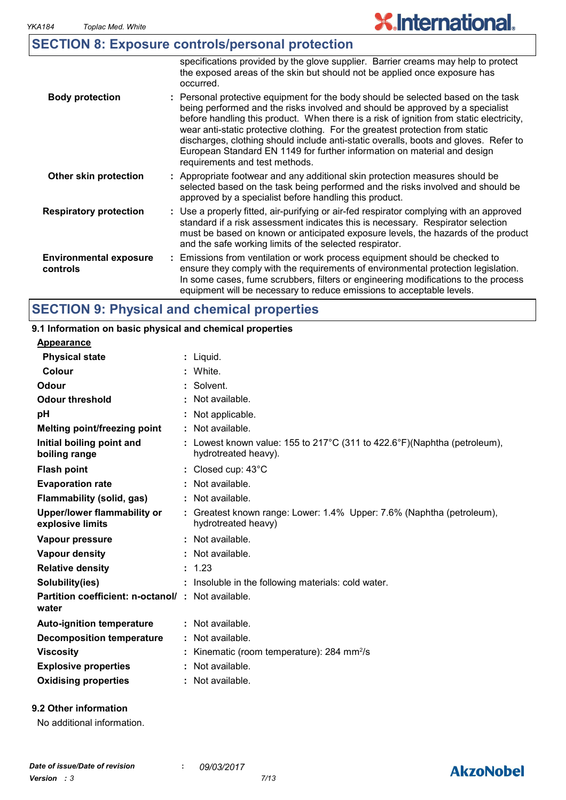|                                           | <b>SECTION 8: Exposure controls/personal protection</b>                                                                                                                                                                                                                                                                                                                                                                                                                                                                                              |  |
|-------------------------------------------|------------------------------------------------------------------------------------------------------------------------------------------------------------------------------------------------------------------------------------------------------------------------------------------------------------------------------------------------------------------------------------------------------------------------------------------------------------------------------------------------------------------------------------------------------|--|
|                                           | specifications provided by the glove supplier. Barrier creams may help to protect<br>the exposed areas of the skin but should not be applied once exposure has<br>occurred.                                                                                                                                                                                                                                                                                                                                                                          |  |
| <b>Body protection</b>                    | : Personal protective equipment for the body should be selected based on the task<br>being performed and the risks involved and should be approved by a specialist<br>before handling this product. When there is a risk of ignition from static electricity,<br>wear anti-static protective clothing. For the greatest protection from static<br>discharges, clothing should include anti-static overalls, boots and gloves. Refer to<br>European Standard EN 1149 for further information on material and design<br>requirements and test methods. |  |
| Other skin protection                     | : Appropriate footwear and any additional skin protection measures should be<br>selected based on the task being performed and the risks involved and should be<br>approved by a specialist before handling this product.                                                                                                                                                                                                                                                                                                                            |  |
| <b>Respiratory protection</b>             | : Use a properly fitted, air-purifying or air-fed respirator complying with an approved<br>standard if a risk assessment indicates this is necessary. Respirator selection<br>must be based on known or anticipated exposure levels, the hazards of the product<br>and the safe working limits of the selected respirator.                                                                                                                                                                                                                           |  |
| <b>Environmental exposure</b><br>controls | : Emissions from ventilation or work process equipment should be checked to<br>ensure they comply with the requirements of environmental protection legislation.<br>In some cases, fume scrubbers, filters or engineering modifications to the process<br>equipment will be necessary to reduce emissions to acceptable levels.                                                                                                                                                                                                                      |  |

# **SECTION 9: Physical and chemical properties**

#### Liquid. **: Appearance** Lowest known value: 155 to 217°C (311 to 422.6°F)(Naphtha (petroleum), **:** hydrotreated heavy). **Physical state Melting point/freezing point Initial boiling point and boiling range Vapour pressure Relative density Vapour density Solubility(ies)** Not available. **:** 1.23 **:** Not available. **:** Not available. **: :** Insoluble in the following materials: cold water. **Odour** Solvent. **pH Colour** : White. **Evaporation rate Auto-ignition temperature Flash point** Not available. **:** Closed cup: 43°C **:** Greatest known range: Lower: 1.4% Upper: 7.6% (Naphtha (petroleum), **:** hydrotreated heavy) Not available. **: Partition coefficient: n-octanol/ : Not available.** Not applicable. **: Viscosity Kinematic (room temperature): 284 mm<sup>2</sup>/s Odour threshold water Upper/lower flammability or explosive limits Explosive properties** : Not available. **: Oxidising properties :** Not available. **9.1 Information on basic physical and chemical properties Decomposition temperature :** Not available. **Flammability (solid, gas) :** Not available.

# **9.2 Other information**

No additional information.

# **AkzoNobel**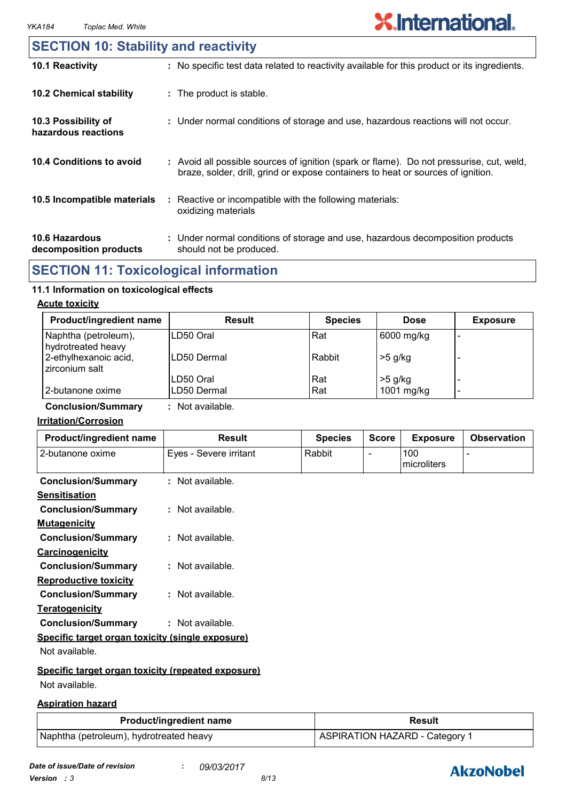# **10.6 Hazardous 10.4 Conditions to avoid** : Avoid all possible sources of ignition (spark or flame). Do not pressurise, cut, weld, braze, solder, drill, grind or expose containers to heat or sources of ignition. Under normal conditions of storage and use, hazardous decomposition products **: 10.2 Chemical stability** : Reactive or incompatible with the following materials: oxidizing materials **: 10.5 Incompatible materials : 10.3 Possibility of hazardous reactions :** Under normal conditions of storage and use, hazardous reactions will not occur. **SECTION 10: Stability and reactivity 10.1 Reactivity :** No specific test data related to reactivity available for this product or its ingredients.

**decomposition products** should not be produced.

# **SECTION 11: Toxicological information**

#### **11.1 Information on toxicological effects**

#### **Acute toxicity**

| <b>Product/ingredient name</b>             | Result      | <b>Species</b> | <b>Dose</b> | <b>Exposure</b> |
|--------------------------------------------|-------------|----------------|-------------|-----------------|
| Naphtha (petroleum),<br>hydrotreated heavy | ILD50 Oral  | Rat            | 6000 mg/kg  |                 |
| 2-ethylhexanoic acid,<br>zirconium salt    | LD50 Dermal | Rabbit         | $>5$ g/kg   |                 |
|                                            | LD50 Oral   | Rat            | $>5$ g/kg   |                 |
| 2-butanone oxime                           | LD50 Dermal | Rat            | 1001 mg/kg  | -               |

**Conclusion/Summary :** Not available.

#### **Irritation/Corrosion**

| Product/ingredient name                            | <b>Result</b>          | <b>Species</b> | <b>Score</b>             | <b>Exposure</b>    | <b>Observation</b> |
|----------------------------------------------------|------------------------|----------------|--------------------------|--------------------|--------------------|
| 2-butanone oxime                                   | Eyes - Severe irritant | Rabbit         | $\overline{\phantom{0}}$ | 100<br>microliters |                    |
| <b>Conclusion/Summary</b>                          | : Not available.       |                |                          |                    |                    |
| <b>Sensitisation</b>                               |                        |                |                          |                    |                    |
| <b>Conclusion/Summary</b>                          | : Not available.       |                |                          |                    |                    |
| <b>Mutagenicity</b>                                |                        |                |                          |                    |                    |
| <b>Conclusion/Summary</b>                          | : Not available.       |                |                          |                    |                    |
| <b>Carcinogenicity</b>                             |                        |                |                          |                    |                    |
| <b>Conclusion/Summary</b>                          | $:$ Not available.     |                |                          |                    |                    |
| <b>Reproductive toxicity</b>                       |                        |                |                          |                    |                    |
| <b>Conclusion/Summary</b>                          | $:$ Not available.     |                |                          |                    |                    |
| <b>Teratogenicity</b>                              |                        |                |                          |                    |                    |
| <b>Conclusion/Summary</b>                          | : Not available.       |                |                          |                    |                    |
| Specific target organ toxicity (single exposure)   |                        |                |                          |                    |                    |
| Not available.                                     |                        |                |                          |                    |                    |
| Specific target organ toxicity (repeated exposure) |                        |                |                          |                    |                    |
| Not available.                                     |                        |                |                          |                    |                    |

#### **Aspiration hazard**

| <b>Product/ingredient name</b>          | <b>Result</b>                  |
|-----------------------------------------|--------------------------------|
| Naphtha (petroleum), hydrotreated heavy | ASPIRATION HAZARD - Category 1 |

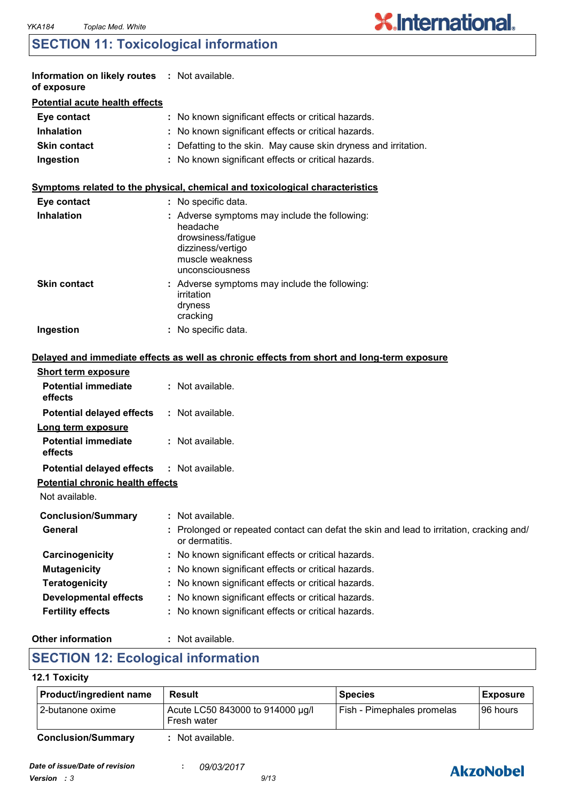# **SECTION 11: Toxicological information**

| Information on likely routes : Not available.<br>of exposure |                                                                                                                                          |
|--------------------------------------------------------------|------------------------------------------------------------------------------------------------------------------------------------------|
| <b>Potential acute health effects</b>                        |                                                                                                                                          |
| Eye contact                                                  | : No known significant effects or critical hazards.                                                                                      |
| <b>Inhalation</b>                                            | : No known significant effects or critical hazards.                                                                                      |
| <b>Skin contact</b>                                          | : Defatting to the skin. May cause skin dryness and irritation.                                                                          |
| Ingestion                                                    | : No known significant effects or critical hazards.                                                                                      |
|                                                              | Symptoms related to the physical, chemical and toxicological characteristics                                                             |
| Eye contact                                                  | : No specific data.                                                                                                                      |
| <b>Inhalation</b>                                            | Adverse symptoms may include the following:<br>headache<br>drowsiness/fatigue<br>dizziness/vertigo<br>muscle weakness<br>unconsciousness |
| <b>Skin contact</b>                                          | : Adverse symptoms may include the following:<br>irritation<br>dryness<br>cracking                                                       |
| Ingestion                                                    | : No specific data.                                                                                                                      |
|                                                              | Delayed and immediate effects as well as chronic effects from short and long-term exposure                                               |
| <b>Short term exposure</b>                                   |                                                                                                                                          |
| <b>Potential immediate</b><br>effects                        | : Not available.                                                                                                                         |
| <b>Potential delayed effects</b>                             | : Not available.                                                                                                                         |
| Long term exposure                                           |                                                                                                                                          |
| <b>Potential immediate</b><br>effects                        | : Not available.                                                                                                                         |
| <b>Potential delayed effects</b>                             | : Not available.                                                                                                                         |
| <b>Potential chronic health effects</b>                      |                                                                                                                                          |
| Not available.                                               |                                                                                                                                          |
| <b>Conclusion/Summary</b>                                    | : Not available.                                                                                                                         |
| <b>General</b>                                               | Prolonged or repeated contact can defat the skin and lead to irritation, cracking and/<br>or dermatitis.                                 |
| Carcinogenicity                                              | No known significant effects or critical hazards.                                                                                        |
| <b>Mutagenicity</b>                                          | No known significant effects or critical hazards.                                                                                        |
| <b>Teratogenicity</b>                                        | No known significant effects or critical hazards.                                                                                        |
| <b>Developmental effects</b>                                 | No known significant effects or critical hazards.                                                                                        |
| <b>Fertility effects</b>                                     | No known significant effects or critical hazards.                                                                                        |
|                                                              |                                                                                                                                          |

# **Other information :**

: Not available.

# **SECTION 12: Ecological information**

#### **12.1 Toxicity**

| Product/ingredient name   | Result                                          | <b>Species</b>             | <b>Exposure</b> |
|---------------------------|-------------------------------------------------|----------------------------|-----------------|
| 12-butanone oxime         | Acute LC50 843000 to 914000 µg/l<br>Fresh water | Fish - Pimephales promelas | I96 hours       |
| <b>Conclusion/Summary</b> | Not available.                                  |                            |                 |



**X.International.**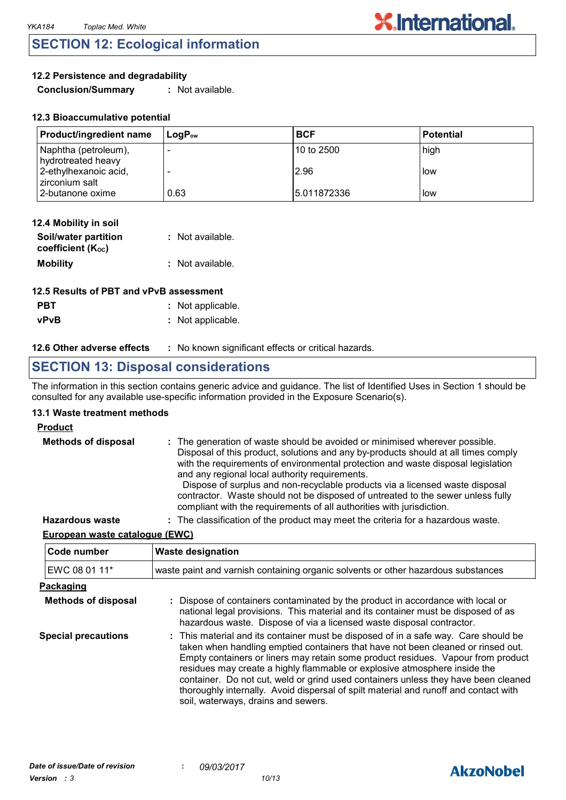# **SECTION 12: Ecological information**

### **12.2 Persistence and degradability**

**Conclusion/Summary :** Not available.

| <b>Product/ingredient name</b>             | $\mathsf{Loa}\mathsf{P}_{\mathsf{ow}}$ | <b>BCF</b>  | l Potential |
|--------------------------------------------|----------------------------------------|-------------|-------------|
| Naphtha (petroleum),<br>hydrotreated heavy |                                        | 10 to 2500  | high        |
| 2-ethylhexanoic acid,<br>zirconium salt    |                                        | 2.96        | l low       |
| 2-butanone oxime                           | 0.63                                   | 5.011872336 | l low       |

| 12.4 Mobility in soil                     |                  |
|-------------------------------------------|------------------|
| Soil/water partition<br>coefficient (Koc) | : Not available. |
| <b>Mobility</b>                           | : Not available. |

| 12.5 Results of PBT and vPvB assessment |                   |  |
|-----------------------------------------|-------------------|--|
| <b>PBT</b>                              | : Not applicable. |  |
| <b>vPvB</b>                             | : Not applicable. |  |

#### **12.6 Other adverse effects** : No known significant effects or critical hazards.

# **SECTION 13: Disposal considerations**

The information in this section contains generic advice and guidance. The list of Identified Uses in Section 1 should be consulted for any available use-specific information provided in the Exposure Scenario(s).

#### **13.1 Waste treatment methods**

#### **Product**

| <b>Methods of disposal</b> | : The generation of waste should be avoided or minimised wherever possible.<br>Disposal of this product, solutions and any by-products should at all times comply<br>with the requirements of environmental protection and waste disposal legislation<br>and any regional local authority requirements.<br>Dispose of surplus and non-recyclable products via a licensed waste disposal<br>contractor. Waste should not be disposed of untreated to the sewer unless fully<br>compliant with the requirements of all authorities with jurisdiction. |
|----------------------------|-----------------------------------------------------------------------------------------------------------------------------------------------------------------------------------------------------------------------------------------------------------------------------------------------------------------------------------------------------------------------------------------------------------------------------------------------------------------------------------------------------------------------------------------------------|
| <b>Hazardous waste</b>     | : The classification of the product may meet the criteria for a hazardous waste.                                                                                                                                                                                                                                                                                                                                                                                                                                                                    |

## **European waste catalogue (EWC)**

| Code number                | <b>Waste designation</b>                                                                                                                                                                                                                                                                                                                                                                                                                                                                                                                                      |
|----------------------------|---------------------------------------------------------------------------------------------------------------------------------------------------------------------------------------------------------------------------------------------------------------------------------------------------------------------------------------------------------------------------------------------------------------------------------------------------------------------------------------------------------------------------------------------------------------|
| EWC 08 01 11*              | waste paint and varnish containing organic solvents or other hazardous substances                                                                                                                                                                                                                                                                                                                                                                                                                                                                             |
| Packaging                  |                                                                                                                                                                                                                                                                                                                                                                                                                                                                                                                                                               |
| <b>Methods of disposal</b> | : Dispose of containers contaminated by the product in accordance with local or<br>national legal provisions. This material and its container must be disposed of as<br>hazardous waste. Dispose of via a licensed waste disposal contractor.                                                                                                                                                                                                                                                                                                                 |
| <b>Special precautions</b> | : This material and its container must be disposed of in a safe way. Care should be<br>taken when handling emptied containers that have not been cleaned or rinsed out.<br>Empty containers or liners may retain some product residues. Vapour from product<br>residues may create a highly flammable or explosive atmosphere inside the<br>container. Do not cut, weld or grind used containers unless they have been cleaned<br>thoroughly internally. Avoid dispersal of spilt material and runoff and contact with<br>soil, waterways, drains and sewers. |

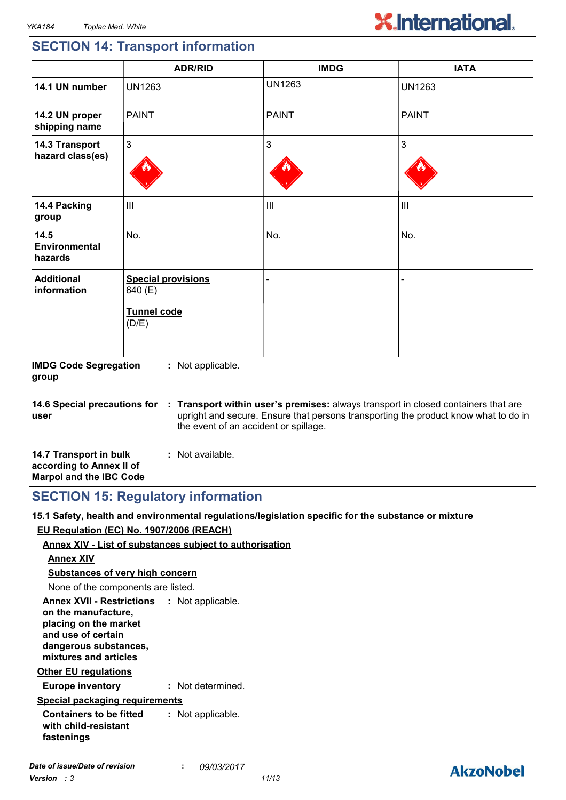# **SECTION 14: Transport information**

|                                    | <b>ADR/RID</b>                                               | <b>IMDG</b>   | <b>IATA</b>    |
|------------------------------------|--------------------------------------------------------------|---------------|----------------|
| 14.1 UN number                     | <b>UN1263</b>                                                | <b>UN1263</b> | <b>UN1263</b>  |
| 14.2 UN proper<br>shipping name    | <b>PAINT</b>                                                 | <b>PAINT</b>  | <b>PAINT</b>   |
| 14.3 Transport<br>hazard class(es) | 3                                                            | 3             | 3              |
| 14.4 Packing<br>group              | $\mathbf{III}$                                               | III           | $\mathbf{III}$ |
| 14.5<br>Environmental<br>hazards   | No.                                                          | No.           | No.            |
| <b>Additional</b><br>information   | <b>Special provisions</b><br>640 (E)<br>Tunnel code<br>(D/E) |               |                |

**IMDG Code Segregation group :** Not applicable.

**14.6 Special precautions for user Transport within user's premises:** always transport in closed containers that are **:** upright and secure. Ensure that persons transporting the product know what to do in the event of an accident or spillage.

| 14.7 Transport in bulk         | : Not available. |
|--------------------------------|------------------|
| according to Annex II of       |                  |
| <b>Marpol and the IBC Code</b> |                  |

**SECTION 15: Regulatory information**

**15.1 Safety, health and environmental regulations/legislation specific for the substance or mixture EU Regulation (EC) No. 1907/2006 (REACH)**

#### **Annex XIV - List of substances subject to authorisation**

#### **Annex XIV**

**Substances of very high concern**

None of the components are listed.

**Annex XVII - Restrictions : Not applicable. on the manufacture, placing on the market and use of certain dangerous substances, mixtures and articles**

#### **Other EU regulations**

**Europe inventory :** Not determined.

#### **Special packaging requirements**

**Containers to be fitted with child-resistant fastenings :** Not applicable.

# **AkzoNobel**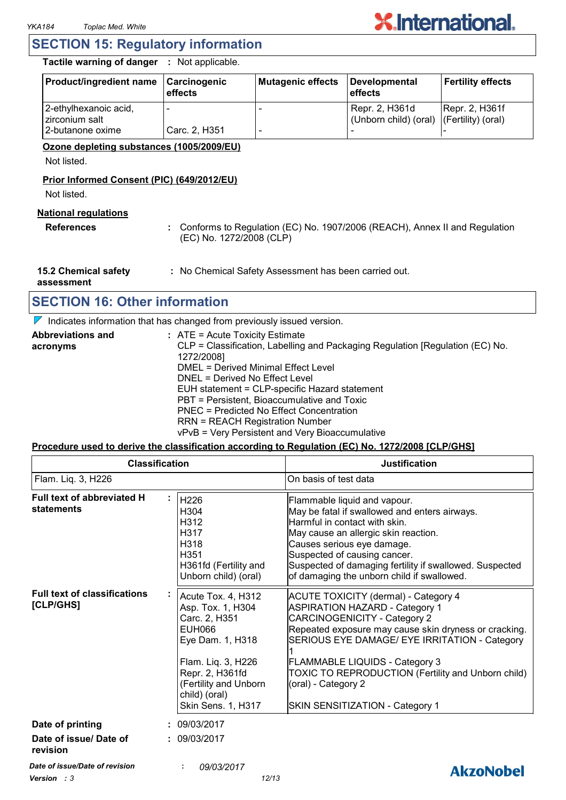# **SECTION 15: Regulatory information**

**Tactile warning of danger :** Not applicable.

| <b>Product/ingredient name</b>          | Carcinogenic<br>effects | Mutagenic effects | Developmental<br><b>effects</b>                            | <b>Fertility effects</b> |
|-----------------------------------------|-------------------------|-------------------|------------------------------------------------------------|--------------------------|
| 2-ethylhexanoic acid,<br>zirconium salt |                         |                   | Repr. 2, H361d<br>(Unborn child) (oral) (Fertility) (oral) | Repr. 2, H361f           |
| l 2-butanone oxime                      | Carc. 2, H351           |                   |                                                            |                          |

#### **Ozone depleting substances (1005/2009/EU)**

Not listed.

## **Prior Informed Consent (PIC) (649/2012/EU)**

Not listed.

## **National regulations**

**References :** Conforms to Regulation (EC) No. 1907/2006 (REACH), Annex II and Regulation (EC) No. 1272/2008 (CLP)

**15.2 Chemical safety :** No Chemical Safety Assessment has been carried out.

**assessment**

# **SECTION 16: Other information**

*Version : 3 12/13*

 $\nabla$  Indicates information that has changed from previously issued version.

| <b>Abbreviations and</b> | $:$ ATE = Acute Toxicity Estimate                                             |
|--------------------------|-------------------------------------------------------------------------------|
| acronyms                 | CLP = Classification, Labelling and Packaging Regulation [Regulation (EC) No. |
|                          | 1272/2008]                                                                    |
|                          | DMEL = Derived Minimal Effect Level                                           |
|                          | DNEL = Derived No Effect Level                                                |
|                          | EUH statement = CLP-specific Hazard statement                                 |
|                          | PBT = Persistent, Bioaccumulative and Toxic                                   |
|                          | PNEC = Predicted No Effect Concentration                                      |
|                          | <b>RRN = REACH Registration Number</b>                                        |
|                          | vPvB = Very Persistent and Very Bioaccumulative                               |

#### **Procedure used to derive the classification according to Regulation (EC) No. 1272/2008 [CLP/GHS]**

| Flam. Liq. 3, H226<br>Full text of abbreviated H<br>statements<br><b>Full text of classifications</b> | H226<br>H304<br>H312<br>H317<br>H318<br>H351<br>H361fd (Fertility and<br>Unborn child) (oral)                                                                                                          | On basis of test data<br>Flammable liquid and vapour.<br>May be fatal if swallowed and enters airways.<br>Harmful in contact with skin.<br>May cause an allergic skin reaction.<br>Causes serious eye damage.<br>Suspected of causing cancer.<br>Suspected of damaging fertility if swallowed. Suspected<br>of damaging the unborn child if swallowed.                                         |
|-------------------------------------------------------------------------------------------------------|--------------------------------------------------------------------------------------------------------------------------------------------------------------------------------------------------------|------------------------------------------------------------------------------------------------------------------------------------------------------------------------------------------------------------------------------------------------------------------------------------------------------------------------------------------------------------------------------------------------|
|                                                                                                       |                                                                                                                                                                                                        |                                                                                                                                                                                                                                                                                                                                                                                                |
|                                                                                                       |                                                                                                                                                                                                        |                                                                                                                                                                                                                                                                                                                                                                                                |
| [CLP/GHS]                                                                                             | Acute Tox. 4, H312<br>Asp. Tox. 1, H304<br>Carc. 2, H351<br><b>EUH066</b><br>Eye Dam. 1, H318<br>Flam. Liq. 3, H226<br>Repr. 2, H361fd<br>(Fertility and Unborn<br>child) (oral)<br>Skin Sens. 1, H317 | <b>ACUTE TOXICITY (dermal) - Category 4</b><br><b>ASPIRATION HAZARD - Category 1</b><br><b>CARCINOGENICITY - Category 2</b><br>Repeated exposure may cause skin dryness or cracking.<br>SERIOUS EYE DAMAGE/ EYE IRRITATION - Category<br><b>FLAMMABLE LIQUIDS - Category 3</b><br>TOXIC TO REPRODUCTION (Fertility and Unborn child)<br>(oral) - Category 2<br>SKIN SENSITIZATION - Category 1 |
| Date of printing                                                                                      | : 09/03/2017                                                                                                                                                                                           |                                                                                                                                                                                                                                                                                                                                                                                                |
| Date of issue/ Date of<br>revision                                                                    | : 09/03/2017                                                                                                                                                                                           |                                                                                                                                                                                                                                                                                                                                                                                                |
| Date of issue/Date of revision                                                                        | 09/03/2017                                                                                                                                                                                             | AkzoNobel                                                                                                                                                                                                                                                                                                                                                                                      |